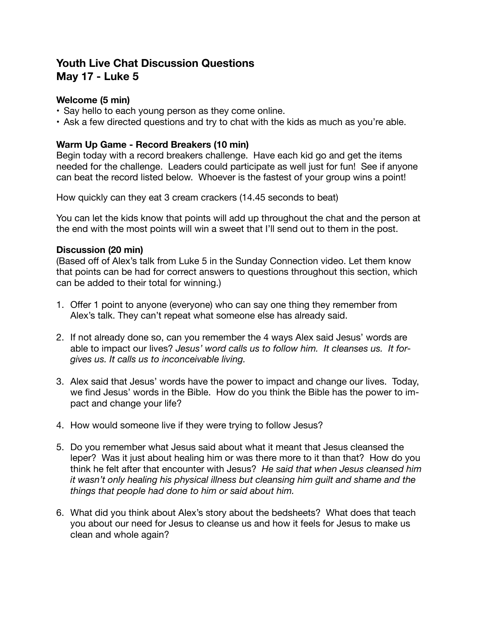# **Youth Live Chat Discussion Questions May 17 - Luke 5**

## **Welcome (5 min)**

- Say hello to each young person as they come online.
- Ask a few directed questions and try to chat with the kids as much as you're able.

## **Warm Up Game - Record Breakers (10 min)**

Begin today with a record breakers challenge. Have each kid go and get the items needed for the challenge. Leaders could participate as well just for fun! See if anyone can beat the record listed below. Whoever is the fastest of your group wins a point!

How quickly can they eat 3 cream crackers (14.45 seconds to beat)

You can let the kids know that points will add up throughout the chat and the person at the end with the most points will win a sweet that I'll send out to them in the post.

#### **Discussion (20 min)**

(Based off of Alex's talk from Luke 5 in the Sunday Connection video. Let them know that points can be had for correct answers to questions throughout this section, which can be added to their total for winning.)

- 1. Offer 1 point to anyone (everyone) who can say one thing they remember from Alex's talk. They can't repeat what someone else has already said.
- 2. If not already done so, can you remember the 4 ways Alex said Jesus' words are able to impact our lives? *Jesus' word calls us to follow him. It cleanses us. It forgives us. It calls us to inconceivable living.*
- 3. Alex said that Jesus' words have the power to impact and change our lives. Today, we find Jesus' words in the Bible. How do you think the Bible has the power to impact and change your life?
- 4. How would someone live if they were trying to follow Jesus?
- 5. Do you remember what Jesus said about what it meant that Jesus cleansed the leper? Was it just about healing him or was there more to it than that? How do you think he felt after that encounter with Jesus? *He said that when Jesus cleansed him it wasn't only healing his physical illness but cleansing him guilt and shame and the things that people had done to him or said about him.*
- 6. What did you think about Alex's story about the bedsheets? What does that teach you about our need for Jesus to cleanse us and how it feels for Jesus to make us clean and whole again?